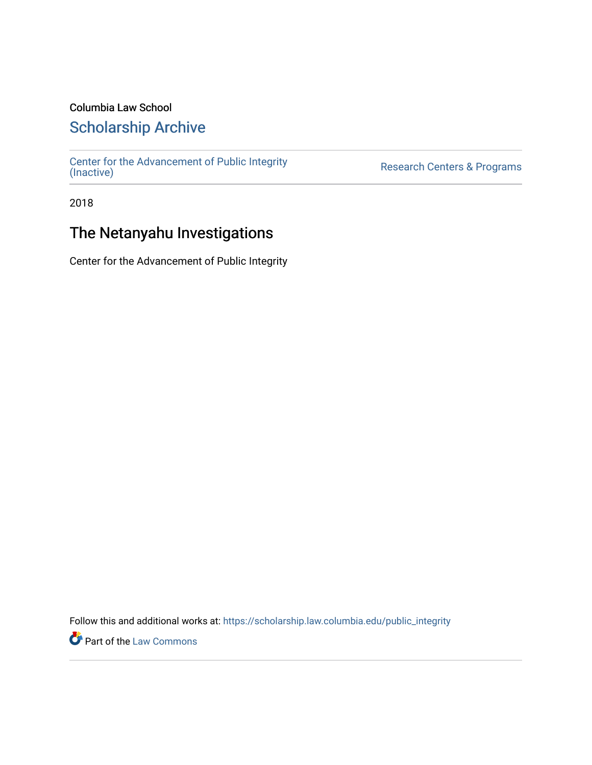### Columbia Law School

## [Scholarship Archive](https://scholarship.law.columbia.edu/)

[Center for the Advancement of Public Integrity](https://scholarship.law.columbia.edu/public_integrity)<br>(Inactive)

Research Centers & Programs

2018

## The Netanyahu Investigations

Center for the Advancement of Public Integrity

Follow this and additional works at: [https://scholarship.law.columbia.edu/public\\_integrity](https://scholarship.law.columbia.edu/public_integrity?utm_source=scholarship.law.columbia.edu%2Fpublic_integrity%2F28&utm_medium=PDF&utm_campaign=PDFCoverPages)

**Part of the [Law Commons](http://network.bepress.com/hgg/discipline/578?utm_source=scholarship.law.columbia.edu%2Fpublic_integrity%2F28&utm_medium=PDF&utm_campaign=PDFCoverPages)**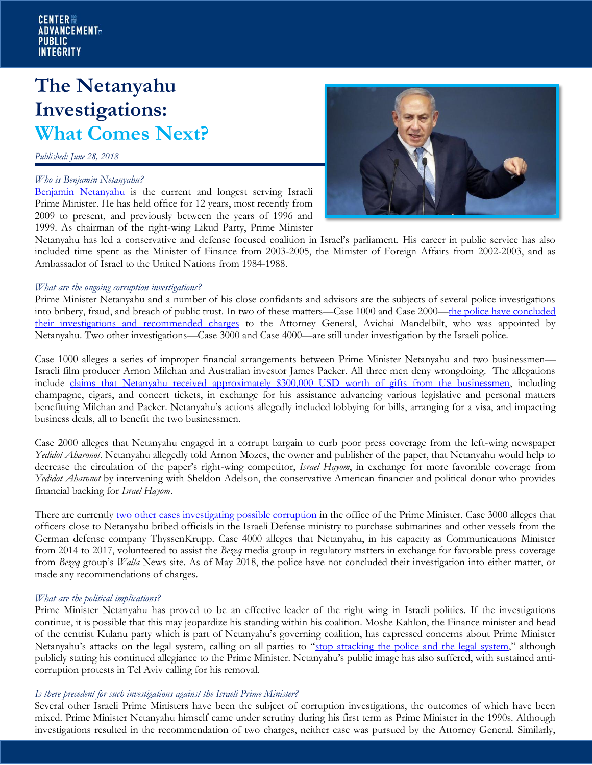# **The Netanyahu Investigations: What Comes Next?**

*Published: June 28, 2018*

#### *Who is Benjamin Netanyahu?*

[Benjamin Netanyahu](file:///C:/Users/ibruce/AppData/Local/Temp/(http:/www.pmo.gov.il/English/PrimeMinister/Pages/PrimeMinister-CurriculumVitae.aspx)) is the current and longest serving Israeli Prime Minister. He has held office for 12 years, most recently from 2009 to present, and previously between the years of 1996 and 1999. As chairman of the right-wing Likud Party, Prime Minister



Netanyahu has led a conservative and defense focused coalition in Israel's parliament. His career in public service has also included time spent as the Minister of Finance from 2003-2005, the Minister of Foreign Affairs from 2002-2003, and as Ambassador of Israel to the United Nations from 1984-1988.

#### *What are the ongoing corruption investigations?*

Prime Minister Netanyahu and a number of his close confidants and advisors are the subjects of several police investigations into bribery, fraud, and breach of public trust. In two of these matters—Case 1000 and Case 2000—the police have concluded [their investigations and recommended charges](file:///C:/Users/jrodgers/Downloads/o%09https:/www.cnn.com/2018/02/13/middleeast/netanyahu-corruption-probes-israel-intl/index.html) to the Attorney General, Avichai Mandelbilt, who was appointed by Netanyahu. Two other investigations—Case 3000 and Case 4000—are still under investigation by the Israeli police.

Case 1000 alleges a series of improper financial arrangements between Prime Minister Netanyahu and two businessmen— Israeli film producer Arnon Milchan and Australian investor James Packer. All three men deny wrongdoing. The allegations include [claims that Netanyahu received approximately \\$300,000 USD worth of gifts from the businessmen,](https://www.newyorker.com/news/daily-comment/the-police-case-against-bibi-netanyahu) including champagne, cigars, and concert tickets, in exchange for his assistance advancing various legislative and personal matters benefitting Milchan and Packer. Netanyahu's actions allegedly included lobbying for bills, arranging for a visa, and impacting business deals, all to benefit the two businessmen.

Case 2000 alleges that Netanyahu engaged in a corrupt bargain to curb poor press coverage from the left-wing newspaper *Yedidot Aharonot*. Netanyahu allegedly told Arnon Mozes, the owner and publisher of the paper, that Netanyahu would help to decrease the circulation of the paper's right-wing competitor, *Israel Hayom*, in exchange for more favorable coverage from *Yedidot Aharonot* by intervening with Sheldon Adelson, the conservative American financier and political donor who provides financial backing for *Israel Hayom*.

There are currently [two other cases investigating possible corruption](https://www.haaretz.com/israel-news/bibi-bombshell-explained-your-guide-to-the-netanyahu-cases-1.5810633) in the office of the Prime Minister. Case 3000 alleges that officers close to Netanyahu bribed officials in the Israeli Defense ministry to purchase submarines and other vessels from the German defense company ThyssenKrupp. Case 4000 alleges that Netanyahu, in his capacity as Communications Minister from 2014 to 2017, volunteered to assist the *Bezeq* media group in regulatory matters in exchange for favorable press coverage from *Bezeq* group's *Walla* News site. As of May 2018, the police have not concluded their investigation into either matter, or made any recommendations of charges.

#### *What are the political implications?*

Prime Minister Netanyahu has proved to be an effective leader of the right wing in Israeli politics. If the investigations continue, it is possible that this may jeopardize his standing within his coalition. Moshe Kahlon, the Finance minister and head of the centrist Kulanu party which is part of Netanyahu's governing coalition, has expressed concerns about Prime Minister Netanyahu's attacks on the legal system, calling on all parties to "[stop attacking the police and the legal system](https://www.newyorker.com/news/daily-comment/the-police-case-against-bibi-netanyahu)," although publicly stating his continued allegiance to the Prime Minister. Netanyahu's public image has also suffered, with sustained anticorruption protests in Tel Aviv calling for his removal.

#### *Is there precedent for such investigations against the Israeli Prime Minister?*

Several other Israeli Prime Ministers have been the subject of corruption investigations, the outcomes of which have been mixed. Prime Minister Netanyahu himself came under scrutiny during his first term as Prime Minister in the 1990s. Although investigations resulted in the recommendation of two charges, neither case was pursued by the Attorney General. Similarly,